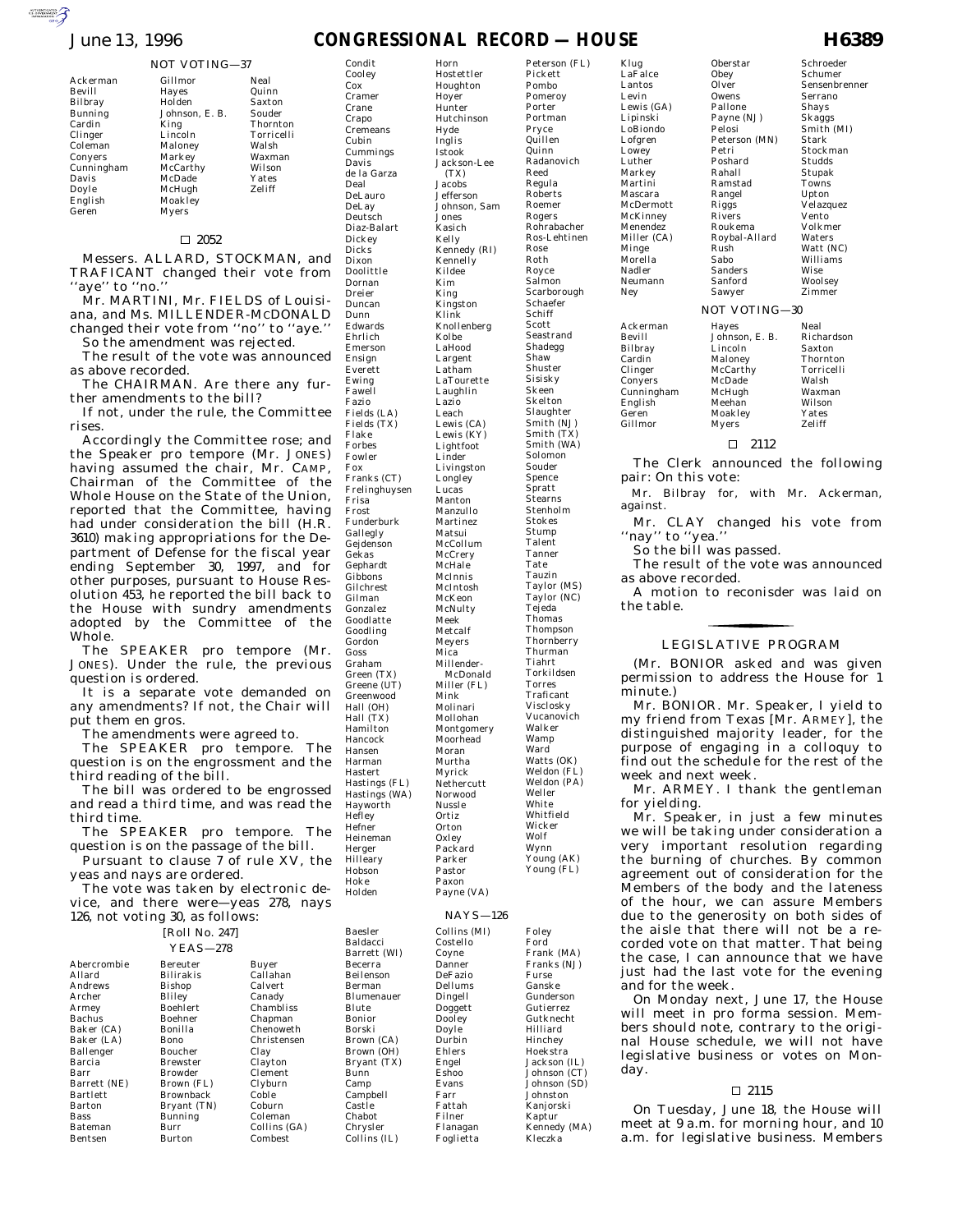# *June 13, 1996* **CONGRESSIONAL RECORD — HOUSE H6389**

AUTOROTOMICALE

NOT VOTING—37

Neal Quinn Saxton Souder Thornton Torricelli Walsh Waxman Wilson Yates Zeliff

Condit

| Ackerman   | Gillmor        |
|------------|----------------|
| Bevill     | Hayes          |
| Bilbray    | Holden         |
| Bunning    | Johnson, E. B. |
| Cardin     | King           |
| Clinger    | Lincoln        |
| Coleman    | Maloney        |
| Conyers    | Markey         |
| Cunningham | McCarthy       |
| Davis      | McDade         |
| Doyle      | McHugh         |
| English    | Moakley        |
| Geren      | Myers          |
|            |                |

### $\Box$  2052

Messers. ALLARD, STOCKMAN, and TRAFICANT changed their vote from 'aye'' to "no.

Mr. MARTINI, Mr. FIELDS of Louisiana, and Ms. MILLENDER-MCDONALD changed their vote from ''no'' to ''aye.''

So the amendment was rejected. The result of the vote was announced

as above recorded.

The CHAIRMAN. Are there any further amendments to the bill?

If not, under the rule, the Committee rises.

Accordingly the Committee rose; and the Speaker pro tempore (Mr. JONES) having assumed the chair, Mr. CAMP, Chairman of the Committee of the Whole House on the State of the Union, reported that the Committee, having had under consideration the bill (H.R. 3610) making appropriations for the Department of Defense for the fiscal year ending September 30, 1997, and for other purposes, pursuant to House Resolution 453, he reported the bill back to the House with sundry amendments adopted by the Committee of the Whole.

The SPEAKER pro tempore (Mr. JONES). Under the rule, the previous question is ordered.

It is a separate vote demanded on any amendments? If not, the Chair will put them en gros.

The amendments were agreed to.

The SPEAKER pro tempore. The question is on the engrossment and the third reading of the bill.

The bill was ordered to be engrossed and read a third time, and was read the third time.

The SPEAKER pro tempore. The question is on the passage of the bill.

Pursuant to clause 7 of rule XV, the yeas and nays are ordered.

The vote was taken by electronic device, and there were—yeas 278, nays 126, not voting 30, as follows:

|                 | [Roll No. 247] |              |
|-----------------|----------------|--------------|
|                 | $YEAS = 278$   |              |
| Abercrombie     | Bereuter       | Buyer        |
| Allard          | Bilirakis      | Callahan     |
| Andrews         | <b>Bishop</b>  | Calvert      |
| Archer          | Bliley         | Canady       |
| Armey           | Boehlert       | Chambliss    |
| <b>Bachus</b>   | Boehner        | Chapman      |
| Baker (CA)      | Bonilla        | Chenoweth    |
| Baker (LA)      | Bono           | Christensen  |
| Ballenger       | Boucher        | Clay         |
| Barcia          | Brewster       | Clayton      |
| Barr            | Browder        | Clement      |
| Barrett (NE)    | Brown (FL)     | Clyburn      |
| <b>Bartlett</b> | Brownback      | Coble        |
| Barton          | Bryant (TN)    | Coburn       |
| Bass            | Bunning        | Coleman      |
| Bateman         | Burr           | Collins (GA) |
| Bentsen         | Burton         | Combest      |

Cooley Cox Cramer Crane Crapo Cremeans Cubin Cummings Davis de la Garza Deal DeLauro DeLay Deutsch Diaz-Balart Dickey Dicks Dixon Doolittle Dornan Dreier Duncan Dunn Edwards Ehrlich Emerson Ensign Everett Ewing Fawell Fazio Fields (LA) Fields (TX) Flake Forbes Fowler Fox Franks (CT) Frelinghuysen Frisa Frost Funderburk Gallegly Geidenson Gekas Gephardt Gibbons Gilchrest Gilman Gonzalez Goodlatte Goodling Gordon Goss Graham Green (TX) Greene (UT) Greenwood Hall (OH) Hall (TX) Hamilton Hancock Hansen Harman Hastert Hastings (FL) Hastings (WA) Hayworth Hefley Hefner Heineman Herger Hilleary Hobson Hoke Holden

Baldacci Barrett (WI) Beilenson Berman Blumenauer Brown (CA) Brown (OH) Bryant (TX) Campbell Chrysler Collins (IL) Costello Coyne Danner DeFazio Dellums Dingell Doggett Dooley Doyle Durbin Ehlers Engel Eshoo Evans Farr Fattah Filner Flanagan Foglietta

Baesler

Becerra

Blute Bonior Borski

Bunn Camp

Castle Chabot Horn Hostettler Houghton Hoyer Hunter Hutchinson Hyde Inglis Istook Jackson-Lee (TX) Jacobs Jefferson Johnson, Sam Jones Kasich Kelly Kennedy (RI) Kennelly Kildee Kim King Kingston Klink Knollenberg Kolbe LaHood Largent Latham LaTourette Laughlin Lazio Leach Lewis (CA) Lewis (KY) Lightfoot Linder Livingston Longley Lucas Manton Manzullo Martinez Matsui McCollum McCrery McHale McInnis McIntosh McKeon McNulty Meek Metcalf Meyers Mica Millender-McDonald Miller (FL) Mink Molinari Mollohan Montgomery Moorhead Moran Murtha Myrick **Nethercutt** Norwood Nussle Ortiz Orton Oxley Packard Parker Pastor Paxon Payne (VA) Peterson (FL) Pickett Pombo Pomeroy Porter Portman Pryce Quillen NAYS—126 Collins (MI)

Quinn Radanovich Reed Regula Roberts Roemer Rogers Rohrabacher Ros-Lehtinen Rose Roth Royce Salmon **Scarborough** Schaefer Schiff Scott Seastrand Shadegg Shaw Shuster Sisisky Skeen Skelton Slaughter Smith (NJ) Smith (TX) Smith (WA) Solomon Souder Spence Spratt **Stearns** Stenholm Stokes Stump Talent Tanner Tate Tauzin Taylor (MS) Taylor (NC) Tejeda Thomas **Thompson** Thornberry Thurman Tiahrt Torkildsen Torres Traficant Visclosky Vucanovich Walker Wamp Ward Watts (OK) Weldon (FL) Weldon (PA) Weller White Whitfield Wicker Wolf Wynn Young (AK) Young (FL) Foley Ford Frank (MA) Franks (NJ) Furse Ganske Gunderson Gutierrez Gutknecht Hilliard Hinchey Hoekstra Jackson (IL) Johnson (CT) Johnson (SD) Johnston Kanjorski Kaptur Kennedy (MA) Kleczka

Klug LaFalce Lantos Levin Lewis (GA) Lipinski LoBiondo Lofgren Lowey Luther Markey Martini Mascara McDermott McKinney Menendez Miller (CA) Minge Morella Nadler Neumann Ney

Ackerman Bevill Bilbray Cardin Clinger Conyers Cunningham English Geren Gillmor

Oberstar Obey Olver Owens Pallone Payne (NJ) Pelosi Peterson (MN) Petri Poshard Rahall Ramstad Rangel Riggs Rivers Roukema Roybal-Allard Rush Sabo Sanders Sanford Sawyer

Schroeder Schumer Sensenbrenner Serrano Shays Skaggs Smith (MI) Stark Stockman Studds Stupak Towns Upton Velazquez Vento Volkmer Waters Watt (NC) Williams Wise Woolsey Zimmer

NOT VOTING—30

Hayes

Lincoln Maloney

McDade

Meehan

Myers

Johnson, E. B. McCarthy McHugh Moakley Neal Richardson Saxton Thornton Torricelli Walsh Waxman Wilson Yates Zeliff

## $\Box$  2112

The Clerk announced the following pair: On this vote:

Mr. Bilbray for, with Mr. Ackerman, against.

Mr. CLAY changed his vote from ''nay'' to ''yea.''

So the bill was passed.

The result of the vote was announced as above recorded.

A motion to reconisder was laid on the table.

# LEGISLATIVE PROGRAM for the control of the control of

(Mr. BONIOR asked and was given permission to address the House for 1 minute.)

Mr. BONIOR. Mr. Speaker, I yield to my friend from Texas [Mr. ARMEY], the distinguished majority leader, for the purpose of engaging in a colloquy to find out the schedule for the rest of the week and next week.

Mr. ARMEY. I thank the gentleman for yielding.

Mr. Speaker, in just a few minutes we will be taking under consideration a very important resolution regarding the burning of churches. By common agreement out of consideration for the Members of the body and the lateness of the hour, we can assure Members due to the generosity on both sides of the aisle that there will not be a recorded vote on that matter. That being the case, I can announce that we have just had the last vote for the evening and for the week.

On Monday next, June 17, the House will meet in pro forma session. Members should note, contrary to the original House schedule, we will not have legislative business or votes on Monday.

## $\Box$  2115

On Tuesday, June 18, the House will meet at 9 a.m. for morning hour, and 10 a.m. for legislative business. Members